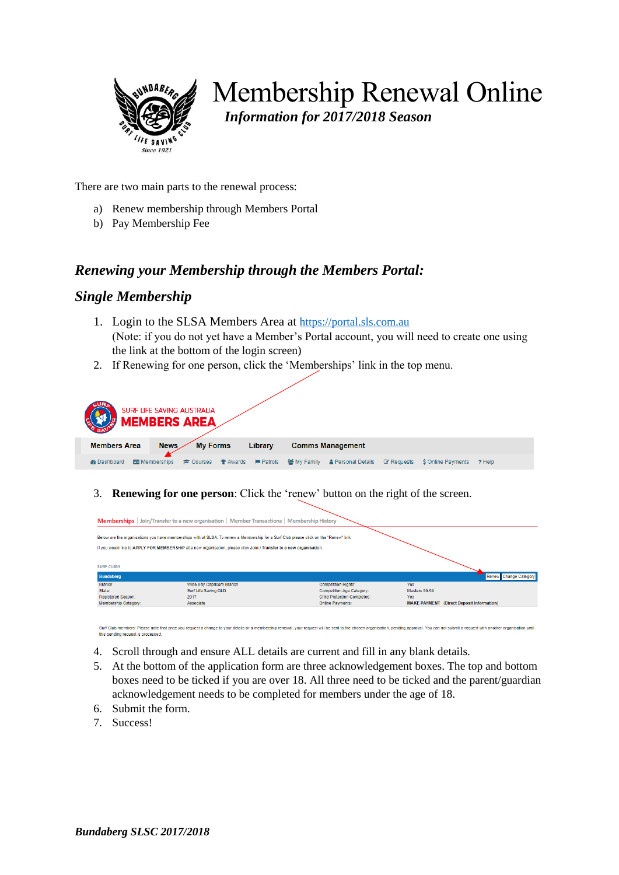

# Membership Renewal Online *Information for 2017/2018 Season*

There are two main parts to the renewal process:

- a) Renew membership through Members Portal
- b) Pay Membership Fee

### *Renewing your Membership through the Members Portal:*

#### *Single Membership*

- 1. Login to the SLSA Members Area at [https://portal.sls.com.au](https://portal.sls.com.au/) (Note: if you do not yet have a Member's Portal account, you will need to create one using the link at the bottom of the login screen)
- 2. If Renewing for one person, click the 'Memberships' link in the top menu.

| SURF LIFE SAVING AUSTRALIA<br><b>MEMBERS AREA</b> |                                  |                                     |             |                           |            |                          |        |
|---------------------------------------------------|----------------------------------|-------------------------------------|-------------|---------------------------|------------|--------------------------|--------|
| <b>Members Area</b>                               | <b>My Forms</b><br><b>News</b>   | Library                             |             | <b>Comms Management</b>   |            |                          |        |
| <b>@</b> Dashboard                                | <b>Ed Memberships</b><br>Courses | <b>P</b> Patrols<br><b>P</b> Awards | 쓸 My Family | <b>A</b> Personal Details | ■ Requests | <b>S</b> Online Payments | ? Help |

3. **Renewing for one person**: Click the 'renew' button on the right of the screen.

|                           | Below are the organisations you have memberships with at SLSA. To renew a Membership for a Surf Club please click on the "Renew" link. |                                    |               |                       |
|---------------------------|----------------------------------------------------------------------------------------------------------------------------------------|------------------------------------|---------------|-----------------------|
|                           | If you would like to APPLY FOR MEMBERSHIP at a new organisation, please click Join / Transfer to a new organisation.                   |                                    |               |                       |
|                           |                                                                                                                                        |                                    |               |                       |
| <b>SURF CLUBS</b>         |                                                                                                                                        |                                    |               |                       |
| <b>Bundaberg</b>          |                                                                                                                                        |                                    |               | Renew Change Category |
|                           | Wide Bay Capricorn Branch                                                                                                              | <b>Competition Rights:</b>         | Yes:          |                       |
| Branch:                   |                                                                                                                                        |                                    |               |                       |
| State:                    | Surf Life Saving QLD                                                                                                                   | Competition Age Category:          | Masters 50-54 |                       |
| <b>Registered Season:</b> | 2017                                                                                                                                   | <b>Child Protection Completed:</b> | <b>Yes</b>    |                       |

Surf Club members: Please note that once you request a change to your details or a membership renewal, your request will be sent to the chosen organisation, pending approval. You can not submit a request with another organ this pending request is processed

- 4. Scroll through and ensure ALL details are current and fill in any blank details.
- 5. At the bottom of the application form are three acknowledgement boxes. The top and bottom boxes need to be ticked if you are over 18. All three need to be ticked and the parent/guardian acknowledgement needs to be completed for members under the age of 18.
- 6. Submit the form.
- 7. Success!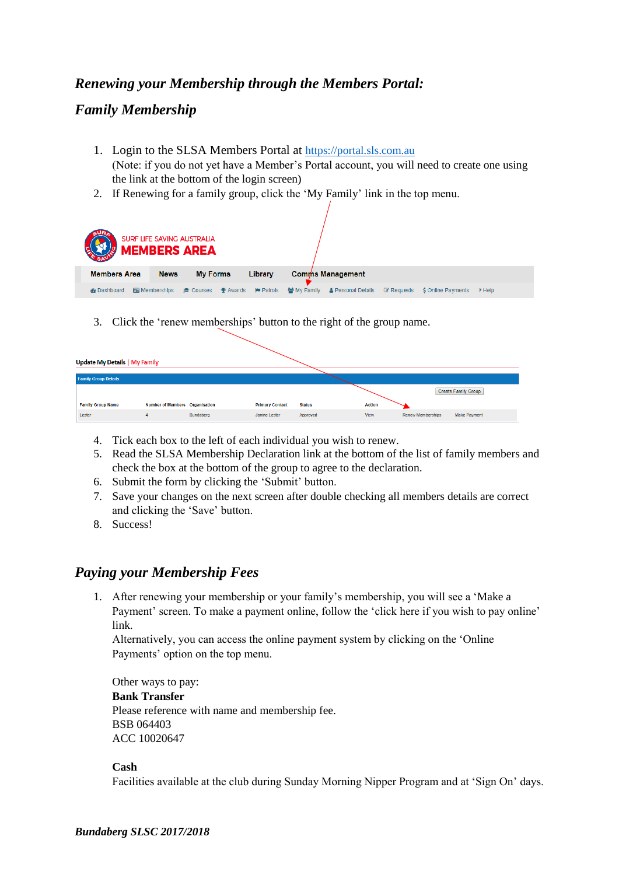# *Renewing your Membership through the Members Portal:*

## *Family Membership*

- 1. Login to the SLSA Members Portal at [https://portal.sls.com.au](https://portal.sls.com.au/) (Note: if you do not yet have a Member's Portal account, you will need to create one using the link at the bottom of the login screen)
- 2. If Renewing for a family group, click the 'My Family' link in the top menu.

| SURF LIFE SAVING AUSTRALIA<br><b>MEMBERS AREA</b> |                                  |                                                   |                                              |            |                    |        |  |
|---------------------------------------------------|----------------------------------|---------------------------------------------------|----------------------------------------------|------------|--------------------|--------|--|
| <b>Members Area</b>                               | <b>News</b>                      | <b>My Forms</b><br>Library                        | <b>Comms Management</b>                      |            |                    |        |  |
| <b>Go</b> Dashboard                               | <b>Ed Memberships</b><br>Courses | <b>Patrols</b><br>$\mathbf{\mathbf{\Phi}}$ Awards | 쓸 My Family<br><b>&amp; Personal Details</b> | ■ Requests | \$ Online Payments | ? Help |  |

3. Click the 'renew memberships' button to the right of the group name.

| Update My Details   My Family |                                |           |                        |               |               |                                                 |  |
|-------------------------------|--------------------------------|-----------|------------------------|---------------|---------------|-------------------------------------------------|--|
| <b>Family Group Details</b>   |                                |           |                        |               |               |                                                 |  |
|                               |                                |           |                        |               |               | Create Family Group                             |  |
| <b>Family Group Name</b>      | Number of Members Organisation |           | <b>Primary Contact</b> | <b>Status</b> | <b>Action</b> |                                                 |  |
| Lester                        |                                | Bundaberg | Janine Lester          | Approved      | View          | <b>Renew Memberships</b><br><b>Make Payment</b> |  |

- 4. Tick each box to the left of each individual you wish to renew.
- 5. Read the SLSA Membership Declaration link at the bottom of the list of family members and check the box at the bottom of the group to agree to the declaration.
- 6. Submit the form by clicking the 'Submit' button.
- 7. Save your changes on the next screen after double checking all members details are correct and clicking the 'Save' button.
- 8. Success!

## *Paying your Membership Fees*

1. After renewing your membership or your family's membership, you will see a 'Make a Payment' screen. To make a payment online, follow the 'click here if you wish to pay online' link.

Alternatively, you can access the online payment system by clicking on the 'Online Payments' option on the top menu.

Other ways to pay: **Bank Transfer** Please reference with name and membership fee. BSB 064403 ACC 10020647

#### **Cash**

Facilities available at the club during Sunday Morning Nipper Program and at 'Sign On' days.